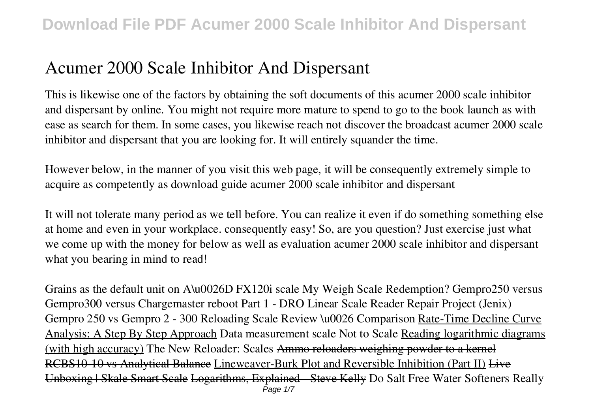# **Acumer 2000 Scale Inhibitor And Dispersant**

This is likewise one of the factors by obtaining the soft documents of this **acumer 2000 scale inhibitor and dispersant** by online. You might not require more mature to spend to go to the book launch as with ease as search for them. In some cases, you likewise reach not discover the broadcast acumer 2000 scale inhibitor and dispersant that you are looking for. It will entirely squander the time.

However below, in the manner of you visit this web page, it will be consequently extremely simple to acquire as competently as download guide acumer 2000 scale inhibitor and dispersant

It will not tolerate many period as we tell before. You can realize it even if do something something else at home and even in your workplace. consequently easy! So, are you question? Just exercise just what we come up with the money for below as well as evaluation **acumer 2000 scale inhibitor and dispersant** what you bearing in mind to read!

**Grains as the default unit on A\u0026D FX120i scale** *My Weigh Scale Redemption? Gempro250 versus Gempro300 versus Chargemaster reboot Part 1 - DRO Linear Scale Reader Repair Project (Jenix)* **Gempro 250 vs Gempro 2 - 300 Reloading Scale Review \u0026 Comparison** Rate-Time Decline Curve Analysis: A Step By Step Approach *Data measurement scale Not to Scale* Reading logarithmic diagrams (with high accuracy) *The New Reloader: Scales* Ammo reloaders weighing powder to a kernel RCBS10-10 vs Analytical Balance Lineweaver-Burk Plot and Reversible Inhibition (Part II) Live Unboxing | Skale Smart Scale Logarithms, Explained - Steve Kelly *Do Salt Free Water Softeners Really* Page  $1/7$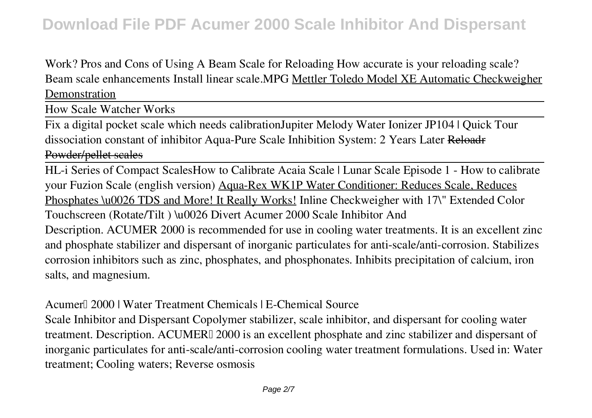*Work?* Pros and Cons of Using A Beam Scale for Reloading How accurate is your reloading scale? **Beam scale enhancements** Install linear scale.MPG Mettler Toledo Model XE Automatic Checkweigher Demonstration

How Scale Watcher Works

Fix a digital pocket scale which needs calibration*Jupiter Melody Water Ionizer JP104 | Quick Tour* **dissociation constant of inhibitor** Aqua-Pure Scale Inhibition System: 2 Years Later Reloadr Powder/pellet scales

HL-i Series of Compact Scales**How to Calibrate Acaia Scale | Lunar Scale Episode 1 - How to calibrate your Fuzion Scale (english version)** Aqua-Rex WK1P Water Conditioner: Reduces Scale, Reduces Phosphates \u0026 TDS and More! It Really Works! **Inline Checkweigher with 17\" Extended Color Touchscreen (Rotate/Tilt ) \u0026 Divert Acumer 2000 Scale Inhibitor And** Description. ACUMER 2000 is recommended for use in cooling water treatments. It is an excellent zinc and phosphate stabilizer and dispersant of inorganic particulates for anti-scale/anti-corrosion. Stabilizes corrosion inhibitors such as zinc, phosphates, and phosphonates. Inhibits precipitation of calcium, iron salts, and magnesium.

**Acumer™ 2000 | Water Treatment Chemicals | E-Chemical Source**

Scale Inhibitor and Dispersant Copolymer stabilizer, scale inhibitor, and dispersant for cooling water treatment. Description. ACUMER∏ 2000 is an excellent phosphate and zinc stabilizer and dispersant of inorganic particulates for anti-scale/anti-corrosion cooling water treatment formulations. Used in: Water treatment; Cooling waters; Reverse osmosis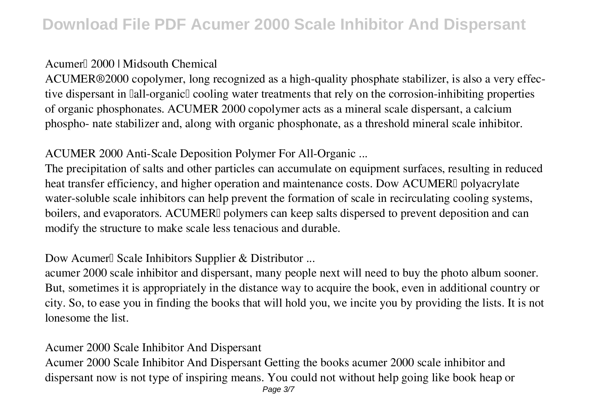### **Acumer™ 2000 | Midsouth Chemical**

ACUMER®2000 copolymer, long recognized as a high-quality phosphate stabilizer, is also a very effective dispersant in  $\text{I}$ all-organic $\text{I}$  cooling water treatments that rely on the corrosion-inhibiting properties of organic phosphonates. ACUMER 2000 copolymer acts as a mineral scale dispersant, a calcium phospho- nate stabilizer and, along with organic phosphonate, as a threshold mineral scale inhibitor.

### **ACUMER 2000 Anti-Scale Deposition Polymer For All-Organic ...**

The precipitation of salts and other particles can accumulate on equipment surfaces, resulting in reduced heat transfer efficiency, and higher operation and maintenance costs. Dow ACUMERI polyacrylate water-soluble scale inhibitors can help prevent the formation of scale in recirculating cooling systems, boilers, and evaporators. ACUMERI polymers can keep salts dispersed to prevent deposition and can modify the structure to make scale less tenacious and durable.

### **Dow Acumer**<sup>Ⅱ</sup> Scale Inhibitors Supplier & Distributor ...

acumer 2000 scale inhibitor and dispersant, many people next will need to buy the photo album sooner. But, sometimes it is appropriately in the distance way to acquire the book, even in additional country or city. So, to ease you in finding the books that will hold you, we incite you by providing the lists. It is not lonesome the list.

#### **Acumer 2000 Scale Inhibitor And Dispersant**

Acumer 2000 Scale Inhibitor And Dispersant Getting the books acumer 2000 scale inhibitor and dispersant now is not type of inspiring means. You could not without help going like book heap or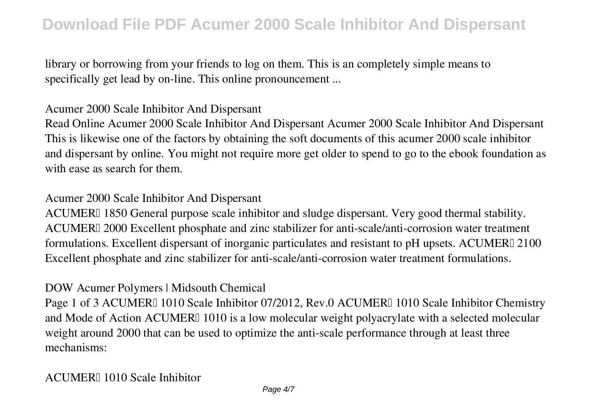library or borrowing from your friends to log on them. This is an completely simple means to specifically get lead by on-line. This online pronouncement ...

#### **Acumer 2000 Scale Inhibitor And Dispersant**

Read Online Acumer 2000 Scale Inhibitor And Dispersant Acumer 2000 Scale Inhibitor And Dispersant This is likewise one of the factors by obtaining the soft documents of this acumer 2000 scale inhibitor and dispersant by online. You might not require more get older to spend to go to the ebook foundation as with ease as search for them.

#### **Acumer 2000 Scale Inhibitor And Dispersant**

ACUMERI 1850 General purpose scale inhibitor and sludge dispersant. Very good thermal stability. ACUMERI 2000 Excellent phosphate and zinc stabilizer for anti-scale/anti-corrosion water treatment formulations. Excellent dispersant of inorganic particulates and resistant to pH upsets. ACUMERI 2100 Excellent phosphate and zinc stabilizer for anti-scale/anti-corrosion water treatment formulations.

#### **DOW Acumer Polymers | Midsouth Chemical**

Page 1 of 3 ACUMER™ 1010 Scale Inhibitor 07/2012, Rev.0 ACUMER™ 1010 Scale Inhibitor Chemistry and Mode of Action ACUMER<sup> $\parallel$ </sup> 1010 is a low molecular weight polyacrylate with a selected molecular weight around 2000 that can be used to optimize the anti-scale performance through at least three mechanisms:

#### **ACUMER™ 1010 Scale Inhibitor**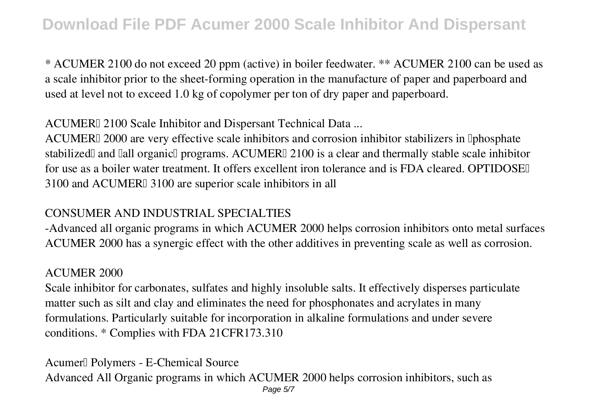\* ACUMER 2100 do not exceed 20 ppm (active) in boiler feedwater. \*\* ACUMER 2100 can be used as a scale inhibitor prior to the sheet-forming operation in the manufacture of paper and paperboard and used at level not to exceed 1.0 kg of copolymer per ton of dry paper and paperboard.

ACUMERI 2100 Scale Inhibitor and Dispersant Technical Data ...

ACUMERI 2000 are very effective scale inhibitors and corrosion inhibitor stabilizers in Iphosphate stabilized<sup>[]</sup> and <sup>[]</sup> all organic<sup>[]</sup> programs. ACUMER<sup>[]</sup> 2100 is a clear and thermally stable scale inhibitor for use as a boiler water treatment. It offers excellent iron tolerance and is FDA cleared. OPTIDOSE 3100 and ACUMER<sup>®</sup> 3100 are superior scale inhibitors in all

#### **CONSUMER AND INDUSTRIAL SPECIALTIES**

-Advanced all organic programs in which ACUMER 2000 helps corrosion inhibitors onto metal surfaces ACUMER 2000 has a synergic effect with the other additives in preventing scale as well as corrosion.

#### **ACUMER 2000**

Scale inhibitor for carbonates, sulfates and highly insoluble salts. It effectively disperses particulate matter such as silt and clay and eliminates the need for phosphonates and acrylates in many formulations. Particularly suitable for incorporation in alkaline formulations and under severe conditions. \* Complies with FDA 21CFR173.310

**Acumer™ Polymers - E-Chemical Source** Advanced All Organic programs in which ACUMER 2000 helps corrosion inhibitors, such as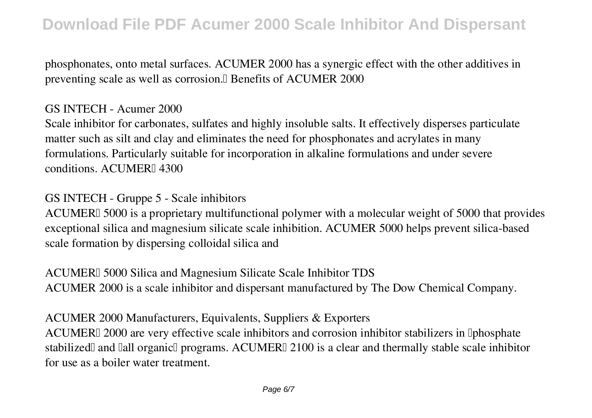phosphonates, onto metal surfaces. ACUMER 2000 has a synergic effect with the other additives in preventing scale as well as corrosion. Benefits of ACUMER 2000

#### **GS INTECH - Acumer 2000**

Scale inhibitor for carbonates, sulfates and highly insoluble salts. It effectively disperses particulate matter such as silt and clay and eliminates the need for phosphonates and acrylates in many formulations. Particularly suitable for incorporation in alkaline formulations and under severe conditions. ACUMER<sub>I14300</sub>

### **GS INTECH - Gruppe 5 - Scale inhibitors**

ACUMERI 5000 is a proprietary multifunctional polymer with a molecular weight of 5000 that provides exceptional silica and magnesium silicate scale inhibition. ACUMER 5000 helps prevent silica-based scale formation by dispersing colloidal silica and

**ACUMERI** 5000 Silica and Magnesium Silicate Scale Inhibitor TDS ACUMER 2000 is a scale inhibitor and dispersant manufactured by The Dow Chemical Company.

**ACUMER 2000 Manufacturers, Equivalents, Suppliers & Exporters**

ACUMERI 2000 are very effective scale inhibitors and corrosion inhibitor stabilizers in Iphosphate stabilized<sup>[]</sup> and <sup>[]</sup> all organic<sup>[]</sup> programs. ACUMER<sup>[]</sup> 2100 is a clear and thermally stable scale inhibitor for use as a boiler water treatment.